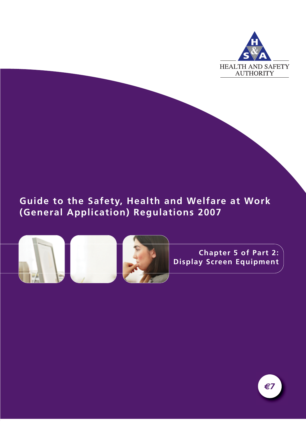

# **Guide to the Safety, Health and Welfare at Work (General Application) Regulations 2007**



**Chapter 5 of Part 2: Display Screen Equipment**

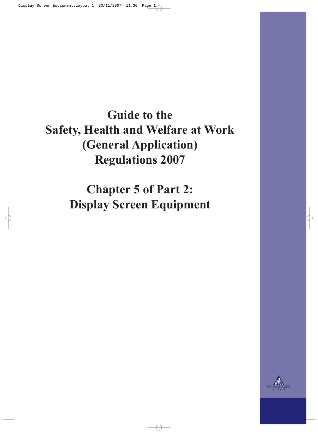# **Guide to the Safety, Health and Welfare at Work (General Application) Regulations 2007**

**Chapter 5 of Part 2: Display Screen Equipment**

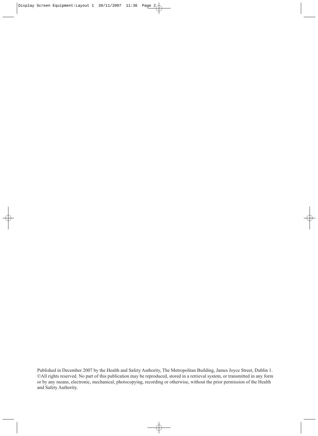Published in December 2007 by the Health and Safety Authority, The Metropolitan Building, James Joyce Street, Dublin 1. ©All rights reserved. No part of this publication may be reproduced, stored in a retrieval system, or transmitted in any form or by any means, electronic, mechanical, photocopying, recording or otherwise, without the prior permission of the Health and Safety Authority.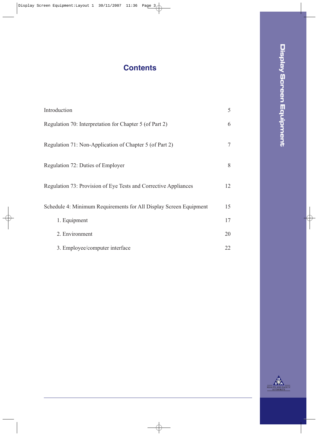# **Contents**

| Introduction                                                      | 5  |
|-------------------------------------------------------------------|----|
| Regulation 70: Interpretation for Chapter 5 (of Part 2)           | 6  |
| Regulation 71: Non-Application of Chapter 5 (of Part 2)           | 7  |
| Regulation 72: Duties of Employer                                 | 8  |
| Regulation 73: Provision of Eye Tests and Corrective Appliances   | 12 |
| Schedule 4: Minimum Requirements for All Display Screen Equipment | 15 |
| 1. Equipment                                                      | 17 |
| 2. Environment                                                    | 20 |
| 3. Employee/computer interface                                    | 22 |

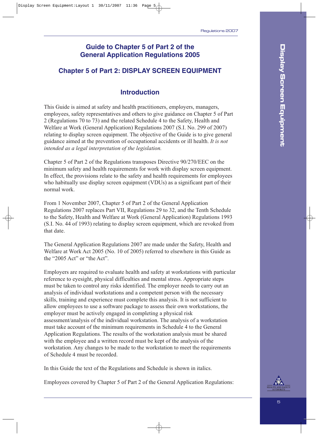### **Guide to Chapter 5 of Part 2 of the General Application Regulations 2005**

### **Chapter 5 of Part 2: DISPLAY SCREEN EQUIPMENT**

### **Introduction**

This Guide is aimed at safety and health practitioners, employers, managers, employees, safety representatives and others to give guidance on Chapter 5 of Part 2 (Regulations 70 to 73) and the related Schedule 4 to the Safety, Health and Welfare at Work (General Application) Regulations 2007 (S.I. No. 299 of 2007) relating to display screen equipment. The objective of the Guide is to give general guidance aimed at the prevention of occupational accidents or ill health. *It is not intended as a legal interpretation of the legislation.*

Chapter 5 of Part 2 of the Regulations transposes Directive 90/270/EEC on the minimum safety and health requirements for work with display screen equipment. In effect, the provisions relate to the safety and health requirements for employees who habitually use display screen equipment (VDUs) as a significant part of their normal work.

From 1 November 2007, Chapter 5 of Part 2 of the General Application Regulations 2007 replaces Part VII, Regulations 29 to 32, and the Tenth Schedule to the Safety, Health and Welfare at Work (General Application) Regulations 1993 (S.I. No. 44 of 1993) relating to display screen equipment, which are revoked from that date.

The General Application Regulations 2007 are made under the Safety, Health and Welfare at Work Act 2005 (No. 10 of 2005) referred to elsewhere in this Guide as the "2005 Act" or "the Act".

Employers are required to evaluate health and safety at workstations with particular reference to eyesight, physical difficulties and mental stress. Appropriate steps must be taken to control any risks identified. The employer needs to carry out an analysis of individual workstations and a competent person with the necessary skills, training and experience must complete this analysis. It is not sufficient to allow employees to use a software package to assess their own workstations, the employer must be actively engaged in completing a physical risk assessment/analysis of the individual workstation. The analysis of a workstation must take account of the minimum requirements in Schedule 4 to the General Application Regulations. The results of the workstation analysis must be shared with the employee and a written record must be kept of the analysis of the workstation. Any changes to be made to the workstation to meet the requirements of Schedule 4 must be recorded.

In this Guide the text of the Regulations and Schedule is shown in italics.

Employees covered by Chapter 5 of Part 2 of the General Application Regulations:

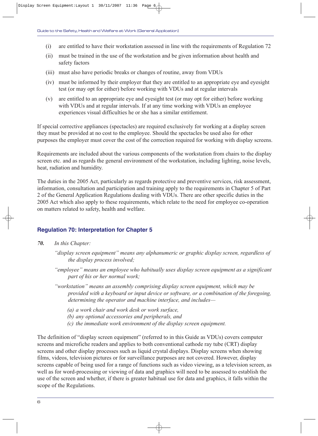- (i) are entitled to have their workstation assessed in line with the requirements of Regulation 72
- (ii) must be trained in the use of the workstation and be given information about health and safety factors
- (iii) must also have periodic breaks or changes of routine, away from VDUs
- (iv) must be informed by their employer that they are entitled to an appropriate eye and eyesight test (or may opt for either) before working with VDUs and at regular intervals
- (v) are entitled to an appropriate eye and eyesight test (or may opt for either) before working with VDUs and at regular intervals. If at any time working with VDUs an employee experiences visual difficulties he or she has a similar entitlement.

If special corrective appliances (spectacles) are required exclusively for working at a display screen they must be provided at no cost to the employee. Should the spectacles be used also for other purposes the employer must cover the cost of the correction required for working with display screens.

Requirements are included about the various components of the workstation from chairs to the display screen etc. and as regards the general environment of the workstation, including lighting, noise levels, heat, radiation and humidity.

The duties in the 2005 Act, particularly as regards protective and preventive services, risk assessment, information, consultation and participation and training apply to the requirements in Chapter 5 of Part 2 of the General Application Regulations dealing with VDUs. There are other specific duties in the 2005 Act which also apply to these requirements, which relate to the need for employee co-operation on matters related to safety, health and welfare.

### **Regulation 70: Interpretation for Chapter 5**

- *70. In this Chapter:*
	- *"display screen equipment" means any alphanumeric or graphic display screen, regardless of the display process involved;*
	- *"employee" means an employee who habitually uses display screen equipment as a significant part of his or her normal work;*
	- *"workstation" means an assembly comprising display screen equipment, which may be provided with a keyboard or input device or software, or a combination of the foregoing, determining the operator and machine interface, and includes—*
		- *(a) a work chair and work desk or work surface,*
		- *(b) any optional accessories and peripherals, and*
		- *(c) the immediate work environment of the display screen equipment.*

The definition of "display screen equipment" (referred to in this Guide as VDUs) covers computer screens and microfiche readers and applies to both conventional cathode ray tube (CRT) display screens and other display processes such as liquid crystal displays. Display screens when showing films, videos, television pictures or for surveillance purposes are not covered. However, display screens capable of being used for a range of functions such as video viewing, as a television screen, as well as for word-processing or viewing of data and graphics will need to be assessed to establish the use of the screen and whether, if there is greater habitual use for data and graphics, it falls within the scope of the Regulations.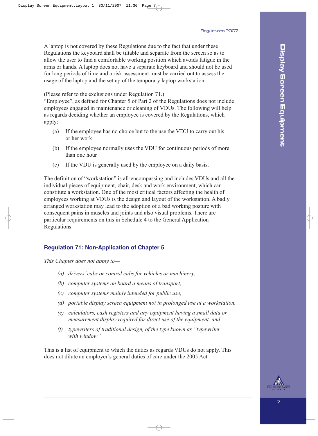A laptop is not covered by these Regulations due to the fact that under these Regulations the keyboard shall be tiltable and separate from the screen so as to allow the user to find a comfortable working position which avoids fatigue in the arms or hands. A laptop does not have a separate keyboard and should not be used for long periods of time and a risk assessment must be carried out to assess the usage of the laptop and the set up of the temporary laptop workstation.

(Please refer to the exclusions under Regulation 71.)

"Employee", as defined for Chapter 5 of Part 2 of the Regulations does not include employees engaged in maintenance or cleaning of VDUs. The following will help as regards deciding whether an employee is covered by the Regulations, which apply:

- (a) If the employee has no choice but to the use the VDU to carry out his or her work
- (b) If the employee normally uses the VDU for continuous periods of more than one hour
- (c) If the VDU is generally used by the employee on a daily basis.

The definition of "workstation" is all-encompassing and includes VDUs and all the individual pieces of equipment, chair, desk and work environment, which can constitute a workstation. One of the most critical factors affecting the health of employees working at VDUs is the design and layout of the workstation. A badly arranged workstation may lead to the adoption of a bad working posture with consequent pains in muscles and joints and also visual problems. There are particular requirements on this in Schedule 4 to the General Application Regulations.

### **Regulation 71: Non-Application of Chapter 5**

*This Chapter does not apply to—*

- *(a) drivers' cabs or control cabs for vehicles or machinery,*
- *(b) computer systems on board a means of transport,*
- *(c) computer systems mainly intended for public use,*
- *(d) portable display screen equipment not in prolonged use at a workstation,*
- *(e) calculators, cash registers and any equipment having a small data or measurement display required for direct use of the equipment, and*
- *(f) typewriters of traditional design, of the type known as "typewriter with window".*

This is a list of equipment to which the duties as regards VDUs do not apply. This does not dilute an employer's general duties of care under the 2005 Act.



**Display Screen Equipment**

Display Screen Equipment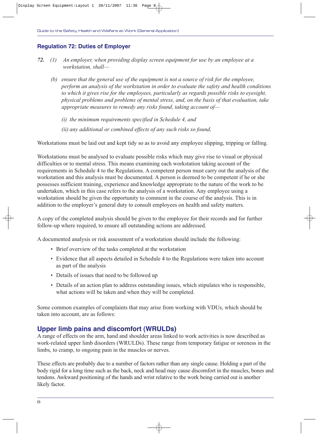#### **Regulation 72: Duties of Employer**

- *72. (1) An employer, when providing display screen equipment for use by an employee at a workstation, shall—*
	- *(b) ensure that the general use of the equipment is not a source of risk for the employee, perform an analysis of the workstation in order to evaluate the safety and health conditions to which it gives rise for the employees, particularly as regards possible risks to eyesight, physical problems and problems of mental stress, and, on the basis of that evaluation, take appropriate measures to remedy any risks found, taking account of—*
		- *(i) the minimum requirements specified in Schedule 4, and*
		- *(ii) any additional or combined effects of any such risks so found,*

Workstations must be laid out and kept tidy so as to avoid any employee slipping, tripping or falling.

Workstations must be analysed to evaluate possible risks which may give rise to visual or physical difficulties or to mental stress. This means examining each workstation taking account of the requirements in Schedule 4 to the Regulations. A competent person must carry out the analysis of the workstation and this analysis must be documented. A person is deemed to be competent if he or she possesses sufficient training, experience and knowledge appropriate to the nature of the work to be undertaken, which in this case refers to the analysis of a workstation. Any employee using a workstation should be given the opportunity to comment in the course of the analysis. This is in addition to the employer's general duty to consult employees on health and safety matters.

A copy of the completed analysis should be given to the employee for their records and for further follow-up where required, to ensure all outstanding actions are addressed.

A documented analysis or risk assessment of a workstation should include the following:

- Brief overview of the tasks completed at the workstation
- Evidence that all aspects detailed in Schedule 4 to the Regulations were taken into account as part of the analysis
- Details of issues that need to be followed up
- Details of an action plan to address outstanding issues, which stipulates who is responsible, what actions will be taken and when they will be completed.

Some common examples of complaints that may arise from working with VDUs, which should be taken into account, are as follows:

### **Upper limb pains and discomfort (WRULDs)**

A range of effects on the arm, hand and shoulder areas linked to work activities is now described as work-related upper limb disorders (WRULDs). These range from temporary fatigue or soreness in the limbs, to cramp, to ongoing pain in the muscles or nerves.

These effects are probably due to a number of factors rather than any single cause. Holding a part of the body rigid for a long time such as the back, neck and head may cause discomfort in the muscles, bones and tendons. Awkward positioning of the hands and wrist relative to the work being carried out is another likely factor.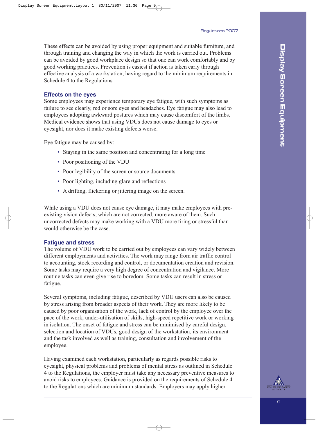These effects can be avoided by using proper equipment and suitable furniture, and through training and changing the way in which the work is carried out. Problems can be avoided by good workplace design so that one can work comfortably and by good working practices. Prevention is easiest if action is taken early through effective analysis of a workstation, having regard to the minimum requirements in Schedule 4 to the Regulations.

#### **Effects on the eyes**

Some employees may experience temporary eye fatigue, with such symptoms as failure to see clearly, red or sore eyes and headaches. Eye fatigue may also lead to employees adopting awkward postures which may cause discomfort of the limbs. Medical evidence shows that using VDUs does not cause damage to eyes or eyesight, nor does it make existing defects worse.

Eye fatigue may be caused by:

- Staying in the same position and concentrating for a long time
- Poor positioning of the VDU
- Poor legibility of the screen or source documents
- Poor lighting, including glare and reflections
- A drifting, flickering or jittering image on the screen.

While using a VDU does not cause eye damage, it may make employees with preexisting vision defects, which are not corrected, more aware of them. Such uncorrected defects may make working with a VDU more tiring or stressful than would otherwise be the case.

#### **Fatigue and stress**

The volume of VDU work to be carried out by employees can vary widely between different employments and activities. The work may range from air traffic control to accounting, stock recording and control, or documentation creation and revision. Some tasks may require a very high degree of concentration and vigilance. More routine tasks can even give rise to boredom. Some tasks can result in stress or fatigue.

Several symptoms, including fatigue, described by VDU users can also be caused by stress arising from broader aspects of their work. They are more likely to be caused by poor organisation of the work, lack of control by the employee over the pace of the work, under-utilisation of skills, high-speed repetitive work or working in isolation. The onset of fatigue and stress can be minimised by careful design, selection and location of VDUs, good design of the workstation, its environment and the task involved as well as training, consultation and involvement of the employee.

Having examined each workstation, particularly as regards possible risks to eyesight, physical problems and problems of mental stress as outlined in Schedule 4 to the Regulations, the employer must take any necessary preventive measures to avoid risks to employees. Guidance is provided on the requirements of Schedule 4 to the Regulations which are minimum standards. Employers may apply higher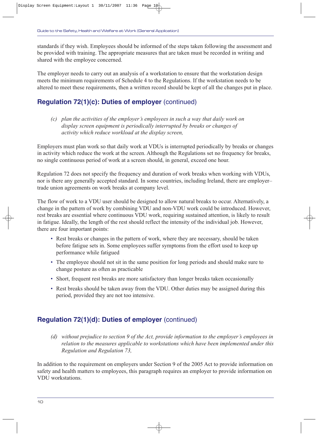standards if they wish. Employees should be informed of the steps taken following the assessment and be provided with training. The appropriate measures that are taken must be recorded in writing and shared with the employee concerned.

The employer needs to carry out an analysis of a workstation to ensure that the workstation design meets the minimum requirements of Schedule 4 to the Regulations. If the workstation needs to be altered to meet these requirements, then a written record should be kept of all the changes put in place.

### **Regulation 72(1)(c): Duties of employer (continued)**

*(c) plan the activities of the employer's employees in such a way that daily work on display screen equipment is periodically interrupted by breaks or changes of activity which reduce workload at the display screen,*

Employers must plan work so that daily work at VDUs is interrupted periodically by breaks or changes in activity which reduce the work at the screen. Although the Regulations set no frequency for breaks, no single continuous period of work at a screen should, in general, exceed one hour.

Regulation 72 does not specify the frequency and duration of work breaks when working with VDUs, nor is there any generally accepted standard. In some countries, including Ireland, there are employer– trade union agreements on work breaks at company level.

The flow of work to a VDU user should be designed to allow natural breaks to occur. Alternatively, a change in the pattern of work by combining VDU and non-VDU work could be introduced. However, rest breaks are essential where continuous VDU work, requiring sustained attention, is likely to result in fatigue. Ideally, the length of the rest should reflect the intensity of the individual job. However, there are four important points:

- Rest breaks or changes in the pattern of work, where they are necessary, should be taken before fatigue sets in. Some employees suffer symptoms from the effort used to keep up performance while fatigued
- The employee should not sit in the same position for long periods and should make sure to change posture as often as practicable
- Short, frequent rest breaks are more satisfactory than longer breaks taken occasionally
- Rest breaks should be taken away from the VDU. Other duties may be assigned during this period, provided they are not too intensive.

### **Regulation 72(1)(d): Duties of employer** (continued)

*(d) without prejudice to section 9 of the Act, provide information to the employer's employees in relation to the measures applicable to workstations which have been implemented under this Regulation and Regulation 73,*

In addition to the requirement on employers under Section 9 of the 2005 Act to provide information on safety and health matters to employees, this paragraph requires an employer to provide information on VDU workstations.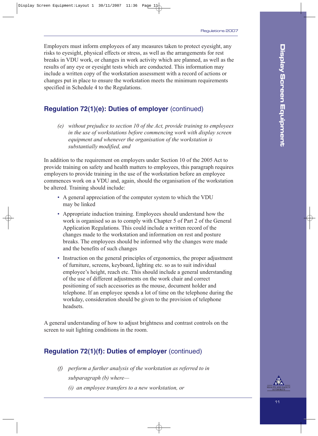Employers must inform employees of any measures taken to protect eyesight, any risks to eyesight, physical effects or stress, as well as the arrangements for rest breaks in VDU work, or changes in work activity which are planned, as well as the results of any eye or eyesight tests which are conducted. This information may include a written copy of the workstation assessment with a record of actions or changes put in place to ensure the workstation meets the minimum requirements specified in Schedule 4 to the Regulations.

### **Regulation 72(1)(e): Duties of employer** (continued)

*(e) without prejudice to section 10 of the Act, provide training to employees in the use of workstations before commencing work with display screen equipment and whenever the organisation of the workstation is substantially modified, and*

In addition to the requirement on employers under Section 10 of the 2005 Act to provide training on safety and health matters to employees, this paragraph requires employers to provide training in the use of the workstation before an employee commences work on a VDU and, again, should the organisation of the workstation be altered. Training should include:

- A general appreciation of the computer system to which the VDU may be linked
- Appropriate induction training. Employees should understand how the work is organised so as to comply with Chapter 5 of Part 2 of the General Application Regulations. This could include a written record of the changes made to the workstation and information on rest and posture breaks. The employees should be informed why the changes were made and the benefits of such changes
- Instruction on the general principles of ergonomics, the proper adjustment of furniture, screens, keyboard, lighting etc. so as to suit individual employee's height, reach etc. This should include a general understanding of the use of different adjustments on the work chair and correct positioning of such accessories as the mouse, document holder and telephone. If an employee spends a lot of time on the telephone during the workday, consideration should be given to the provision of telephone headsets.

A general understanding of how to adjust brightness and contrast controls on the screen to suit lighting conditions in the room.

### **Regulation 72(1)(f): Duties of employer** (continued)

- *(f) perform a further analysis of the workstation as referred to in subparagraph (b) where—*
	- *(i) an employee transfers to a new workstation, or*

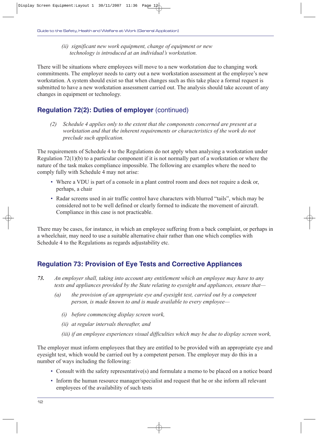*(ii) significant new work equipment, change of equipment or new technology is introduced at an individual's workstation.*

There will be situations where employees will move to a new workstation due to changing work commitments. The employer needs to carry out a new workstation assessment at the employee's new workstation. A system should exist so that when changes such as this take place a formal request is submitted to have a new workstation assessment carried out. The analysis should take account of any changes in equipment or technology.

### **Regulation 72(2): Duties of employer** (continued)

*(2) Schedule 4 applies only to the extent that the components concerned are present at a workstation and that the inherent requirements or characteristics of the work do not preclude such application.*

The requirements of Schedule 4 to the Regulations do not apply when analysing a workstation under Regulation 72(1)(b) to a particular component if it is not normally part of a workstation or where the nature of the task makes compliance impossible. The following are examples where the need to comply fully with Schedule 4 may not arise:

- Where a VDU is part of a console in a plant control room and does not require a desk or, perhaps, a chair
- Radar screens used in air traffic control have characters with blurred "tails", which may be considered not to be well defined or clearly formed to indicate the movement of aircraft. Compliance in this case is not practicable.

There may be cases, for instance, in which an employee suffering from a back complaint, or perhaps in a wheelchair, may need to use a suitable alternative chair rather than one which complies with Schedule 4 to the Regulations as regards adjustability etc.

### **Regulation 73: Provision of Eye Tests and Corrective Appliances**

- *73. An employer shall, taking into account any entitlement which an employee may have to any tests and appliances provided by the State relating to eyesight and appliances, ensure that—*
	- *(a) the provision of an appropriate eye and eyesight test, carried out by a competent person, is made known to and is made available to every employee—*
		- *(i) before commencing display screen work,*
		- *(ii) at regular intervals thereafter, and*
		- *(iii) if an employee experiences visual difficulties which may be due to display screen work,*

The employer must inform employees that they are entitled to be provided with an appropriate eye and eyesight test, which would be carried out by a competent person. The employer may do this in a number of ways including the following:

- Consult with the safety representative(s) and formulate a memo to be placed on a notice board
- Inform the human resource manager/specialist and request that he or she inform all relevant employees of the availability of such tests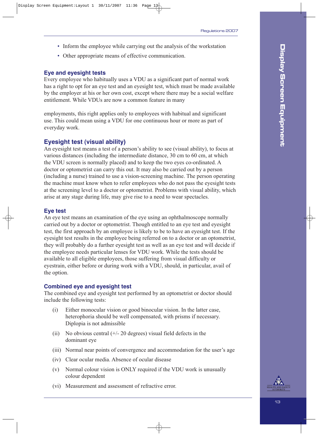- Inform the employee while carrying out the analysis of the workstation
- Other appropriate means of effective communication.

#### **Eye and eyesight tests**

Every employee who habitually uses a VDU as a significant part of normal work has a right to opt for an eye test and an eyesight test, which must be made available by the employer at his or her own cost, except where there may be a social welfare entitlement. While VDUs are now a common feature in many

employments, this right applies only to employees with habitual and significant use. This could mean using a VDU for one continuous hour or more as part of everyday work.

### **Eyesight test (visual ability)**

An eyesight test means a test of a person's ability to see (visual ability), to focus at various distances (including the intermediate distance, 30 cm to 60 cm, at which the VDU screen is normally placed) and to keep the two eyes co-ordinated. A doctor or optometrist can carry this out. It may also be carried out by a person (including a nurse) trained to use a vision-screening machine. The person operating the machine must know when to refer employees who do not pass the eyesight tests at the screening level to a doctor or optometrist. Problems with visual ability, which arise at any stage during life, may give rise to a need to wear spectacles.

#### **Eye test**

An eye test means an examination of the eye using an ophthalmoscope normally carried out by a doctor or optometrist. Though entitled to an eye test and eyesight test, the first approach by an employee is likely to be to have an eyesight test. If the eyesight test results in the employee being referred on to a doctor or an optometrist, they will probably do a further eyesight test as well as an eye test and will decide if the employee needs particular lenses for VDU work. While the tests should be available to all eligible employees, those suffering from visual difficulty or eyestrain, either before or during work with a VDU, should, in particular, avail of the option.

#### **Combined eye and eyesight test**

The combined eye and eyesight test performed by an optometrist or doctor should include the following tests:

- (i) Either monocular vision or good binocular vision. In the latter case, heterophoria should be well compensated, with prisms if necessary. Diplopia is not admissible
- (ii) No obvious central  $(+/- 20$  degrees) visual field defects in the dominant eye
- (iii) Normal near points of convergence and accommodation for the user's age
- (iv) Clear ocular media. Absence of ocular disease
- (v) Normal colour vision is ONLY required if the VDU work is unusually colour dependent
- (vi) Measurement and assessment of refractive error.

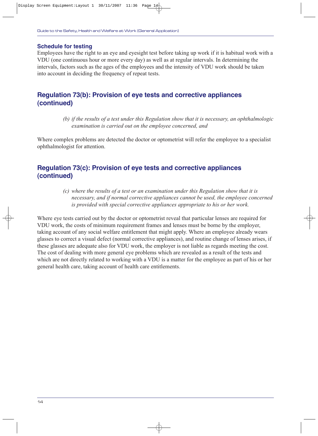#### **Schedule for testing**

Employees have the right to an eye and eyesight test before taking up work if it is habitual work with a VDU (one continuous hour or more every day) as well as at regular intervals. In determining the intervals, factors such as the ages of the employees and the intensity of VDU work should be taken into account in deciding the frequency of repeat tests.

### **Regulation 73(b): Provision of eye tests and corrective appliances (continued)**

*(b) if the results of a test under this Regulation show that it is necessary, an ophthalmologic examination is carried out on the employee concerned, and*

Where complex problems are detected the doctor or optometrist will refer the employee to a specialist ophthalmologist for attention.

### **Regulation 73(c): Provision of eye tests and corrective appliances (continued)**

*(c) where the results of a test or an examination under this Regulation show that it is necessary, and if normal corrective appliances cannot be used, the employee concerned is provided with special corrective appliances appropriate to his or her work.*

Where eye tests carried out by the doctor or optometrist reveal that particular lenses are required for VDU work, the costs of minimum requirement frames and lenses must be borne by the employer, taking account of any social welfare entitlement that might apply. Where an employee already wears glasses to correct a visual defect (normal corrective appliances), and routine change of lenses arises, if these glasses are adequate also for VDU work, the employer is not liable as regards meeting the cost. The cost of dealing with more general eye problems which are revealed as a result of the tests and which are not directly related to working with a VDU is a matter for the employee as part of his or her general health care, taking account of health care entitlements.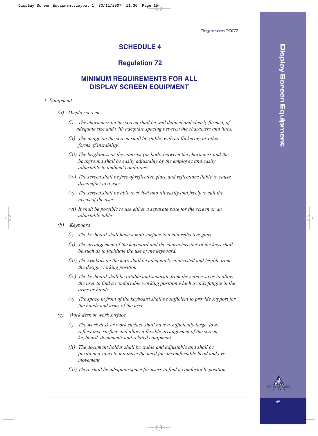### **SCHEDULE 4**

### **Regulation 72**

### **MINIMUM REQUIREMENTS FOR ALL DISPLAY SCREEN EQUIPMENT**

#### *1. Equipment*

- *(a) Display screen*
	- *(i) The characters on the screen shall be well defined and clearly formed, of adequate size and with adequate spacing between the characters and lines.*
	- *(ii) The image on the screen shall be stable, with no flickering or other forms of instability.*
	- *(iii) The brightness or the contrast (or both) between the characters and the background shall be easily adjustable by the employee and easily adjustable to ambient conditions.*
	- *(iv) The screen shall be free of reflective glare and reflections liable to cause discomfort to a user.*
	- *(v) The screen shall be able to swivel and tilt easily and freely to suit the needs of the user.*
	- *(vi) It shall be possible to use either a separate base for the screen or an adjustable table.*
- *(b) Keyboard*
	- *(i) The keyboard shall have a matt surface to avoid reflective glare.*
	- *(ii) The arrangement of the keyboard and the characteristics of the keys shall be such as to facilitate the use of the keyboard.*
	- *(iii) The symbols on the keys shall be adequately contrasted and legible from the design working position.*
	- *(iv) The keyboard shall be tiltable and separate from the screen so as to allow the user to find a comfortable working position which avoids fatigue in the arms or hands.*
	- *(v) The space in front of the keyboard shall be sufficient to provide support for the hands and arms of the user.*
- *(c) Work desk or work surface*
	- *(i) The work desk or work surface shall have a sufficiently large, lowreflectance surface and allow a flexible arrangement of the screen, keyboard, documents and related equipment.*
	- *(ii) The document holder shall be stable and adjustable and shall be positioned so as to minimise the need for uncomfortable head and eye movement.*
	- *(iii) There shall be adequate space for users to find a comfortable position.*



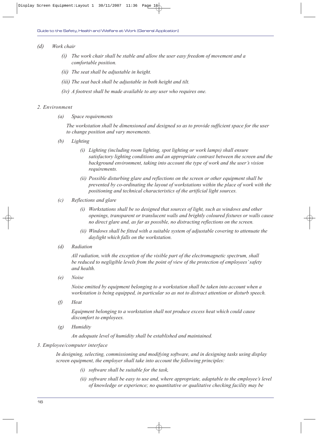#### *(d) Work chair*

- *(i) The work chair shall be stable and allow the user easy freedom of movement and a comfortable position.*
- *(ii) The seat shall be adjustable in height.*
- *(iii) The seat back shall be adjustable in both height and tilt.*
- *(iv) A footrest shall be made available to any user who requires one.*

#### *2. Environment*

*(a) Space requirements*

*The workstation shall be dimensioned and designed so as to provide sufficient space for the user to change position and vary movements.*

- *(b) Lighting*
	- *(i) Lighting (including room lighting, spot lighting or work lamps) shall ensure satisfactory lighting conditions and an appropriate contrast between the screen and the background environment, taking into account the type of work and the user's vision requirements.*
	- *(ii) Possible disturbing glare and reflections on the screen or other equipment shall be prevented by co-ordinating the layout of workstations within the place of work with the positioning and technical characteristics of the artificial light sources.*
- *(c) Reflections and glare*
	- *(i) Workstations shall be so designed that sources of light, such as windows and other openings, transparent or translucent walls and brightly coloured fixtures or walls cause no direct glare and, as far as possible, no distracting reflections on the screen.*
	- *(ii) Windows shall be fitted with a suitable system of adjustable covering to attenuate the daylight which falls on the workstation.*
- *(d) Radiation*

*All radiation, with the exception of the visible part of the electromagnetic spectrum, shall be reduced to negligible levels from the point of view of the protection of employees' safety and health.*

*(e) Noise*

*Noise emitted by equipment belonging to a workstation shall be taken into account when a workstation is being equipped, in particular so as not to distract attention or disturb speech.*

*(f) Heat*

*Equipment belonging to a workstation shall not produce excess heat which could cause discomfort to employees.*

*(g) Humidity*

*An adequate level of humidity shall be established and maintained.*

#### *3. Employee/computer interface*

*In designing, selecting, commissioning and modifying software, and in designing tasks using display screen equipment, the employer shall take into account the following principles:*

- *(i) software shall be suitable for the task,*
- *(ii) software shall be easy to use and, where appropriate, adaptable to the employee's level of knowledge or experience; no quantitative or qualitative checking facility may be*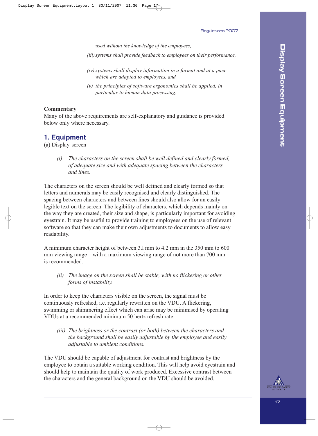*used without the knowledge of the employees,*

*(iii) systems shall provide feedback to employees on their performance,*

- *(iv) systems shall display information in a format and at a pace which are adapted to employees, and*
- *(v) the principles of software ergonomics shall be applied, in particular to human data processing.*

#### **Commentary**

Many of the above requirements are self-explanatory and guidance is provided below only where necessary.

### **1. Equipment**

(a) Display screen

*(i) The characters on the screen shall be well defined and clearly formed, of adequate size and with adequate spacing between the characters and lines.*

The characters on the screen should be well defined and clearly formed so that letters and numerals may be easily recognised and clearly distinguished. The spacing between characters and between lines should also allow for an easily legible text on the screen. The legibility of characters, which depends mainly on the way they are created, their size and shape, is particularly important for avoiding eyestrain. It may be useful to provide training to employees on the use of relevant software so that they can make their own adjustments to documents to allow easy readability.

A minimum character height of between 3.l mm to 4.2 mm in the 350 mm to 600 mm viewing range – with a maximum viewing range of not more than 700 mm – is recommended.

*(ii) The image on the screen shall be stable, with no flickering or other forms of instability.*

In order to keep the characters visible on the screen, the signal must be continuously refreshed, i.e. regularly rewritten on the VDU. A flickering, swimming or shimmering effect which can arise may be minimised by operating VDUs at a recommended minimum 50 hertz refresh rate.

*(iii) The brightness or the contrast (or both) between the characters and the background shall be easily adjustable by the employee and easily adjustable to ambient conditions.*

The VDU should be capable of adjustment for contrast and brightness by the employee to obtain a suitable working condition. This will help avoid eyestrain and should help to maintain the quality of work produced. Excessive contrast between the characters and the general background on the VDU should be avoided.

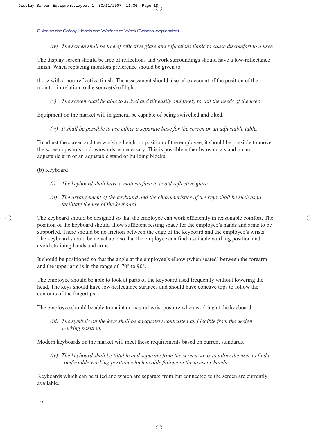*(iv) The screen shall be free of reflective glare and reflections liable to cause discomfort to a user.*

The display screen should be free of reflections and work surroundings should have a low-reflectance finish. When replacing monitors preference should be given to

those with a non-reflective finish. The assessment should also take account of the position of the monitor in relation to the source(s) of light.

*(v) The screen shall be able to swivel and tilt easily and freely to suit the needs of the user.*

Equipment on the market will in general be capable of being swivelled and tilted.

*(vi) It shall be possible to use either a separate base for the screen or an adjustable table.*

To adjust the screen and the working height or position of the employee, it should be possible to move the screen upwards or downwards as necessary. This is possible either by using a stand on an adjustable arm or an adjustable stand or building blocks.

(b) Keyboard

- *(i) The keyboard shall have a matt surface to avoid reflective glare.*
- *(ii) The arrangement of the keyboard and the characteristics of the keys shall be such as to facilitate the use of the keyboard.*

The keyboard should be designed so that the employee can work efficiently in reasonable comfort. The position of the keyboard should allow sufficient resting space for the employee's hands and arms to be supported. There should be no friction between the edge of the keyboard and the employee's wrists. The keyboard should be detachable so that the employee can find a suitable working position and avoid straining hands and arms.

It should be positioned so that the angle at the employee's elbow (when seated) between the forearm and the upper arm is in the range of 70° to 90°.

The employee should be able to look at parts of the keyboard used frequently without lowering the head. The keys should have low-reflectance surfaces and should have concave tops to follow the contours of the fingertips.

The employee should be able to maintain neutral wrist posture when working at the keyboard.

*(iii) The symbols on the keys shall be adequately contrasted and legible from the design working position.*

Modern keyboards on the market will meet these requirements based on current standards.

*(iv) The keyboard shall be tiltable and separate from the screen so as to allow the user to find a comfortable working position which avoids fatigue in the arms or hands.*

Keyboards which can be tilted and which are separate from but connected to the screen are currently available.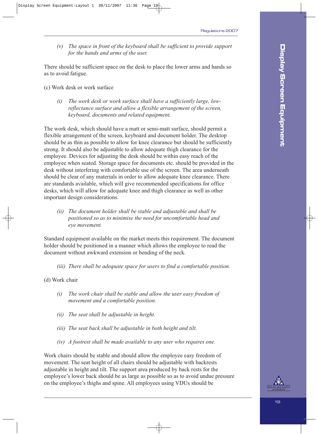*(v) The space in front of the keyboard shall be sufficient to provide support for the hands and arms of the user.*

There should be sufficient space on the desk to place the lower arms and hands so as to avoid fatigue.

(c) Work desk or work surface

*(i) The work desk or work surface shall have a sufficiently large, lowreflectance surface and allow a flexible arrangement of the screen, keyboard, documents and related equipment.*

The work desk, which should have a matt or semi-matt surface, should permit a flexible arrangement of the screen, keyboard and document holder. The desktop should be as thin as possible to allow for knee clearance but should be sufficiently strong. It should also be adjustable to allow adequate thigh clearance for the employee. Devices for adjusting the desk should be within easy reach of the employee when seated. Storage space for documents etc. should be provided in the desk without interfering with comfortable use of the screen. The area underneath should be clear of any materials in order to allow adequate knee clearance. There are standards available, which will give recommended specifications for office desks, which will allow for adequate knee and thigh clearance as well as other important design considerations.

*(ii) The document holder shall be stable and adjustable and shall be positioned so as to minimise the need for uncomfortable head and eye movement.*

Standard equipment available on the market meets this requirement. The document holder should be positioned in a manner which allows the employee to read the document without awkward extension or bending of the neck.

*(iii) There shall be adequate space for users to find a comfortable position.*

#### (d) Work chair

- *(i) The work chair shall be stable and allow the user easy freedom of movement and a comfortable position.*
- *(ii) The seat shall be adjustable in height.*
- *(iii) The seat back shall be adjustable in both height and tilt.*
- *(iv) A footrest shall be made available to any user who requires one.*

Work chairs should be stable and should allow the employee easy freedom of movement. The seat height of all chairs should be adjustable with backrests adjustable in height and tilt. The support area produced by back rests for the employee's lower back should be as large as possible so as to avoid undue pressure on the employee's thighs and spine. All employees using VDUs should be

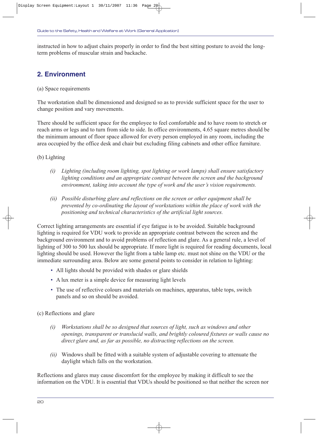instructed in how to adjust chairs properly in order to find the best sitting posture to avoid the longterm problems of muscular strain and backache.

### **2. Environment**

(a) Space requirements

The workstation shall be dimensioned and designed so as to provide sufficient space for the user to change position and vary movements.

There should be sufficient space for the employee to feel comfortable and to have room to stretch or reach arms or legs and to turn from side to side. In office environments, 4.65 square metres should be the minimum amount of floor space allowed for every person employed in any room, including the area occupied by the office desk and chair but excluding filing cabinets and other office furniture.

### (b) Lighting

- *(i) Lighting (including room lighting, spot lighting or work lamps) shall ensure satisfactory*  lighting conditions and an appropriate contrast between the screen and the background *environment, taking into account the type of work and the user's vision requirements.*
- *(ii) Possible disturbing glare and reflections on the screen or other equipment shall be prevented by co-ordinating the layout of workstations within the place of work with the positioning and technical characteristics of the artificial light sources.*

Correct lighting arrangements are essential if eye fatigue is to be avoided. Suitable background lighting is required for VDU work to provide an appropriate contrast between the screen and the background environment and to avoid problems of reflection and glare. As a general rule, a level of lighting of 300 to 500 lux should be appropriate. If more light is required for reading documents, local lighting should be used. However the light from a table lamp etc. must not shine on the VDU or the immediate surrounding area. Below are some general points to consider in relation to lighting:

- All lights should be provided with shades or glare shields
- A lux meter is a simple device for measuring light levels
- The use of reflective colours and materials on machines, apparatus, table tops, switch panels and so on should be avoided.

### (c) Reflections and glare

- *(i) Workstations shall be so designed that sources of light, such as windows and other openings, transparent or translucid walls, and brightly coloured fixtures or walls cause no direct glare and, as far as possible, no distracting reflections on the screen.*
- *(ii)* Windows shall be fitted with a suitable system of adjustable covering to attenuate the daylight which falls on the workstation.

Reflections and glares may cause discomfort for the employee by making it difficult to see the information on the VDU. It is essential that VDUs should be positioned so that neither the screen nor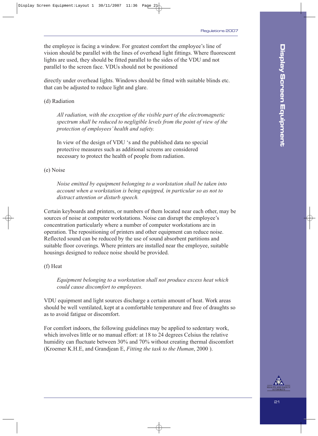the employee is facing a window. For greatest comfort the employee's line of vision should be parallel with the lines of overhead light fittings. Where fluorescent lights are used, they should be fitted parallel to the sides of the VDU and not parallel to the screen face. VDUs should not be positioned

directly under overhead lights. Windows should be fitted with suitable blinds etc. that can be adjusted to reduce light and glare.

#### (d) Radiation

*All radiation, with the exception of the visible part of the electromagnetic spectrum shall be reduced to negligible levels from the point of view of the protection of employees' health and safety.*

In view of the design of VDU 's and the published data no special protective measures such as additional screens are considered necessary to protect the health of people from radiation.

#### (e) Noise

*Noise emitted by equipment belonging to a workstation shall be taken into account when a workstation is being equipped, in particular so as not to distract attention or disturb speech.*

Certain keyboards and printers, or numbers of them located near each other, may be sources of noise at computer workstations. Noise can disrupt the employee's concentration particularly where a number of computer workstations are in operation. The repositioning of printers and other equipment can reduce noise. Reflected sound can be reduced by the use of sound absorbent partitions and suitable floor coverings. Where printers are installed near the employee, suitable housings designed to reduce noise should be provided.

#### (f) Heat

*Equipment belonging to a workstation shall not produce excess heat which could cause discomfort to employees.*

VDU equipment and light sources discharge a certain amount of heat. Work areas should be well ventilated, kept at a comfortable temperature and free of draughts so as to avoid fatigue or discomfort.

For comfort indoors, the following guidelines may be applied to sedentary work, which involves little or no manual effort: at 18 to 24 degrees Celsius the relative humidity can fluctuate between 30% and 70% without creating thermal discomfort (Kroemer K.H.E, and Grandjean E, *Fitting the task to the Human*, 2000 ).

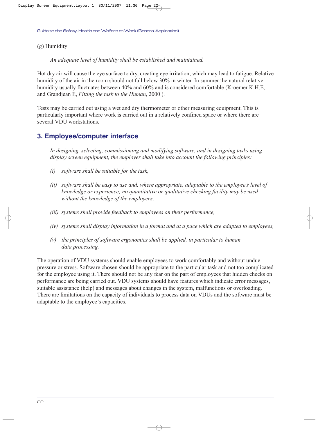(g) Humidity

*An adequate level of humidity shall be established and maintained.*

Hot dry air will cause the eye surface to dry, creating eye irritation, which may lead to fatigue. Relative humidity of the air in the room should not fall below 30% in winter. In summer the natural relative humidity usually fluctuates between 40% and 60% and is considered comfortable (Kroemer K.H.E, and Grandjean E, *Fitting the task to the Human*, 2000 ).

Tests may be carried out using a wet and dry thermometer or other measuring equipment. This is particularly important where work is carried out in a relatively confined space or where there are several VDU workstations.

### **3. Employee/computer interface**

*In designing, selecting, commissioning and modifying software, and in designing tasks using display screen equipment, the employer shall take into account the following principles:*

- *(i) software shall be suitable for the task,*
- *(ii) software shall be easy to use and, where appropriate, adaptable to the employee's level of knowledge or experience; no quantitative or qualitative checking facility may be used without the knowledge of the employees,*
- *(iii) systems shall provide feedback to employees on their performance,*
- *(iv) systems shall display information in a format and at a pace which are adapted to employees,*
- *(v) the principles of software ergonomics shall be applied, in particular to human data processing.*

The operation of VDU systems should enable employees to work comfortably and without undue pressure or stress. Software chosen should be appropriate to the particular task and not too complicated for the employee using it. There should not be any fear on the part of employees that hidden checks on performance are being carried out. VDU systems should have features which indicate error messages, suitable assistance (help) and messages about changes in the system, malfunctions or overloading. There are limitations on the capacity of individuals to process data on VDUs and the software must be adaptable to the employee's capacities.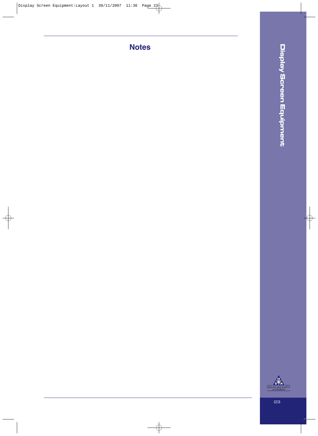**Notes**

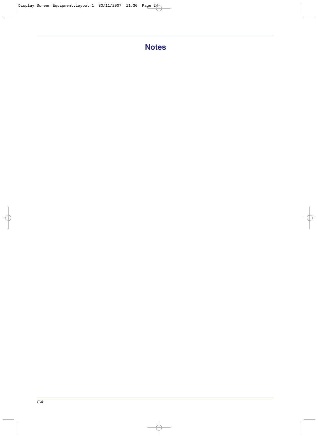# **Notes**